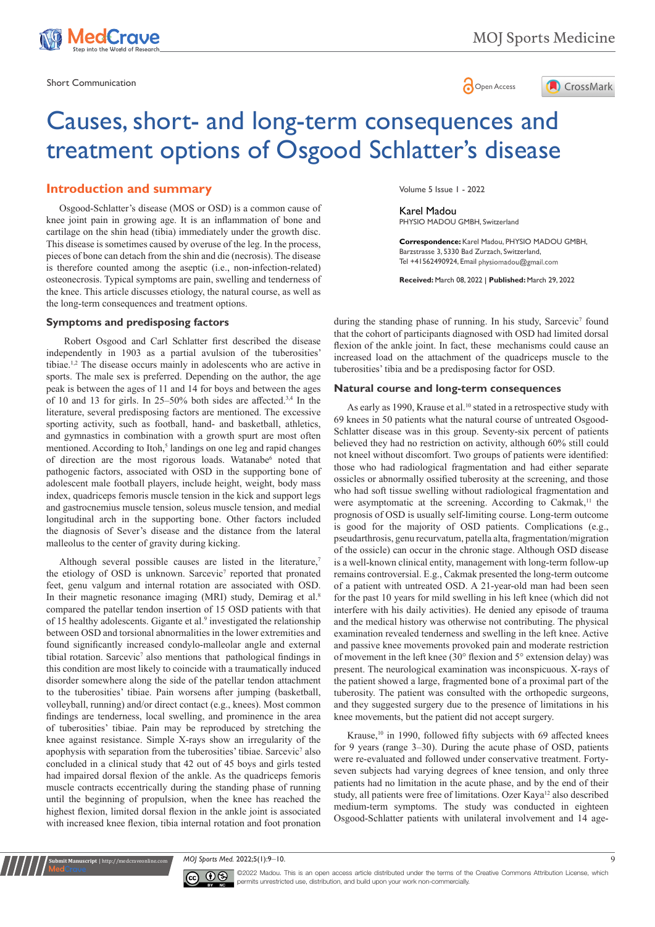

Short Communication and the state of the state of the state of the Spen Access of the Open Access



# Causes, short- and long-term consequences and treatment options of Osgood Schlatter's disease

# **Introduction and summary**

Osgood-Schlatter's disease (MOS or OSD) is a common cause of knee joint pain in growing age. It is an inflammation of bone and cartilage on the shin head (tibia) immediately under the growth disc. This disease is sometimes caused by overuse of the leg. In the process, pieces of bone can detach from the shin and die (necrosis). The disease is therefore counted among the aseptic (i.e., non-infection-related) osteonecrosis. Typical symptoms are pain, swelling and tenderness of the knee. This article discusses etiology, the natural course, as well as the long-term consequences and treatment options.

## **Symptoms and predisposing factors**

 Robert Osgood and Carl Schlatter first described the disease independently in 1903 as a partial avulsion of the tuberosities' tibiae.1,2 The disease occurs mainly in adolescents who are active in sports. The male sex is preferred. Depending on the author, the age peak is between the ages of 11 and 14 for boys and between the ages of 10 and 13 for girls. In 25–50% both sides are affected.3,4 In the literature, several predisposing factors are mentioned. The excessive sporting activity, such as football, hand- and basketball, athletics, and gymnastics in combination with a growth spurt are most often mentioned. According to Itoh,<sup>5</sup> landings on one leg and rapid changes of direction are the most rigorous loads. Watanabe<sup>6</sup> noted that pathogenic factors, associated with OSD in the supporting bone of adolescent male football players, include height, weight, body mass index, quadriceps femoris muscle tension in the kick and support legs and gastrocnemius muscle tension, soleus muscle tension, and medial longitudinal arch in the supporting bone. Other factors included the diagnosis of Sever's disease and the distance from the lateral malleolus to the center of gravity during kicking.

Although several possible causes are listed in the literature,<sup>7</sup> the etiology of OSD is unknown. Sarcevic<sup>7</sup> reported that pronated feet, genu valgum and internal rotation are associated with OSD. In their magnetic resonance imaging (MRI) study, Demirag et al.<sup>8</sup> compared the patellar tendon insertion of 15 OSD patients with that of 15 healthy adolescents. Gigante et al.<sup>9</sup> investigated the relationship between OSD and torsional abnormalities in the lower extremities and found significantly increased condylo-malleolar angle and external tibial rotation. Sarcevic<sup>7</sup> also mentions that pathological findings in this condition are most likely to coincide with a traumatically induced disorder somewhere along the side of the patellar tendon attachment to the tuberosities' tibiae. Pain worsens after jumping (basketball, volleyball, running) and/or direct contact (e.g., knees). Most common findings are tenderness, local swelling, and prominence in the area of tuberosities' tibiae. Pain may be reproduced by stretching the knee against resistance. Simple X-rays show an irregularity of the apophysis with separation from the tuberosities' tibiae. Sarcevic<sup>7</sup> also concluded in a clinical study that 42 out of 45 boys and girls tested had impaired dorsal flexion of the ankle. As the quadriceps femoris muscle contracts eccentrically during the standing phase of running until the beginning of propulsion, when the knee has reached the highest flexion, limited dorsal flexion in the ankle joint is associated with increased knee flexion, tibia internal rotation and foot pronation

Volume 5 Issue 1 - 2022

Karel Madou PHYSIO MADOU GMBH, Switzerland

**Correspondence:** Karel Madou, PHYSIO MADOU GMBH, Barzstrasse 3, 5330 Bad Zurzach, Switzerland, Tel +41562490924, Email physiomadou@gmail.com

**Received:** March 08, 2022 | **Published:** March 29, 2022

during the standing phase of running. In his study, Sarcevic<sup>7</sup> found that the cohort of participants diagnosed with OSD had limited dorsal flexion of the ankle joint. In fact, these mechanisms could cause an increased load on the attachment of the quadriceps muscle to the tuberosities' tibia and be a predisposing factor for OSD.

#### **Natural course and long-term consequences**

As early as 1990, Krause et al.<sup>10</sup> stated in a retrospective study with 69 knees in 50 patients what the natural course of untreated Osgood-Schlatter disease was in this group. Seventy-six percent of patients believed they had no restriction on activity, although 60% still could not kneel without discomfort. Two groups of patients were identified: those who had radiological fragmentation and had either separate ossicles or abnormally ossified tuberosity at the screening, and those who had soft tissue swelling without radiological fragmentation and were asymptomatic at the screening. According to Cakmak,<sup>11</sup> the prognosis of OSD is usually self-limiting course. Long-term outcome is good for the majority of OSD patients. Complications (e.g., pseudarthrosis, genu recurvatum, patella alta, fragmentation/migration of the ossicle) can occur in the chronic stage. Although OSD disease is a well-known clinical entity, management with long-term follow-up remains controversial. E.g., Cakmak presented the long-term outcome of a patient with untreated OSD. A 21-year-old man had been seen for the past 10 years for mild swelling in his left knee (which did not interfere with his daily activities). He denied any episode of trauma and the medical history was otherwise not contributing. The physical examination revealed tenderness and swelling in the left knee. Active and passive knee movements provoked pain and moderate restriction of movement in the left knee (30° flexion and 5° extension delay) was present. The neurological examination was inconspicuous. X-rays of the patient showed a large, fragmented bone of a proximal part of the tuberosity. The patient was consulted with the orthopedic surgeons, and they suggested surgery due to the presence of limitations in his knee movements, but the patient did not accept surgery.

Krause,<sup>10</sup> in 1990, followed fifty subjects with 69 affected knees for 9 years (range 3–30). During the acute phase of OSD, patients were re-evaluated and followed under conservative treatment. Fortyseven subjects had varying degrees of knee tension, and only three patients had no limitation in the acute phase, and by the end of their study, all patients were free of limitations. Ozer Kaya<sup>12</sup> also described medium-term symptoms. The study was conducted in eighteen Osgood-Schlatter patients with unilateral involvement and 14 age-

*MOJ Sports Med.* 2022;5(1):9–10. 9



**Kubmit Manuscript** | http://medcraveonline.c

©2022 Madou. This is an open access article distributed under the terms of the [Creative Commons Attribution License,](https://creativecommons.org/licenses/by-nc/4.0/) which permits unrestricted use, distribution, and build upon your work non-commercially.